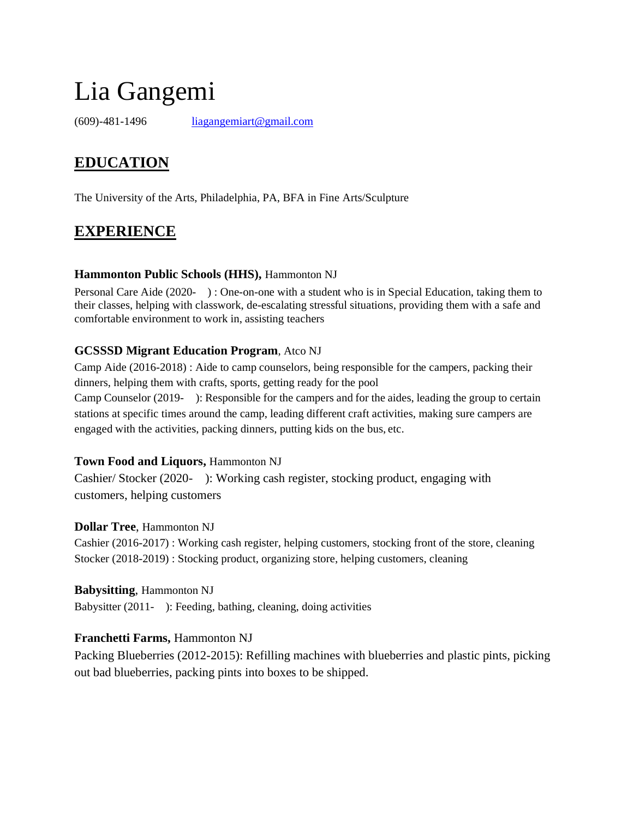# Lia Gangemi

(609)-481-1496 [liagangemiart@gmail.com](mailto:liagangemiart@gmail.com)

## **EDUCATION**

The University of the Arts, Philadelphia, PA, BFA in Fine Arts/Sculpture

### **EXPERIENCE**

#### **Hammonton Public Schools (HHS),** Hammonton NJ

Personal Care Aide (2020- ) : One-on-one with a student who is in Special Education, taking them to their classes, helping with classwork, de-escalating stressful situations, providing them with a safe and comfortable environment to work in, assisting teachers

#### **GCSSSD Migrant Education Program**, Atco NJ

Camp Aide (2016-2018) : Aide to camp counselors, being responsible for the campers, packing their dinners, helping them with crafts, sports, getting ready for the pool Camp Counselor (2019- ): Responsible for the campers and for the aides, leading the group to certain stations at specific times around the camp, leading different craft activities, making sure campers are engaged with the activities, packing dinners, putting kids on the bus, etc.

#### **Town Food and Liquors,** Hammonton NJ

Cashier/ Stocker (2020- ): Working cash register, stocking product, engaging with customers, helping customers

#### **Dollar Tree**, Hammonton NJ

Cashier (2016-2017) : Working cash register, helping customers, stocking front of the store, cleaning Stocker (2018-2019) : Stocking product, organizing store, helping customers, cleaning

#### **Babysitting**, Hammonton NJ

Babysitter (2011- ): Feeding, bathing, cleaning, doing activities

#### **Franchetti Farms,** Hammonton NJ

Packing Blueberries (2012-2015): Refilling machines with blueberries and plastic pints, picking out bad blueberries, packing pints into boxes to be shipped.